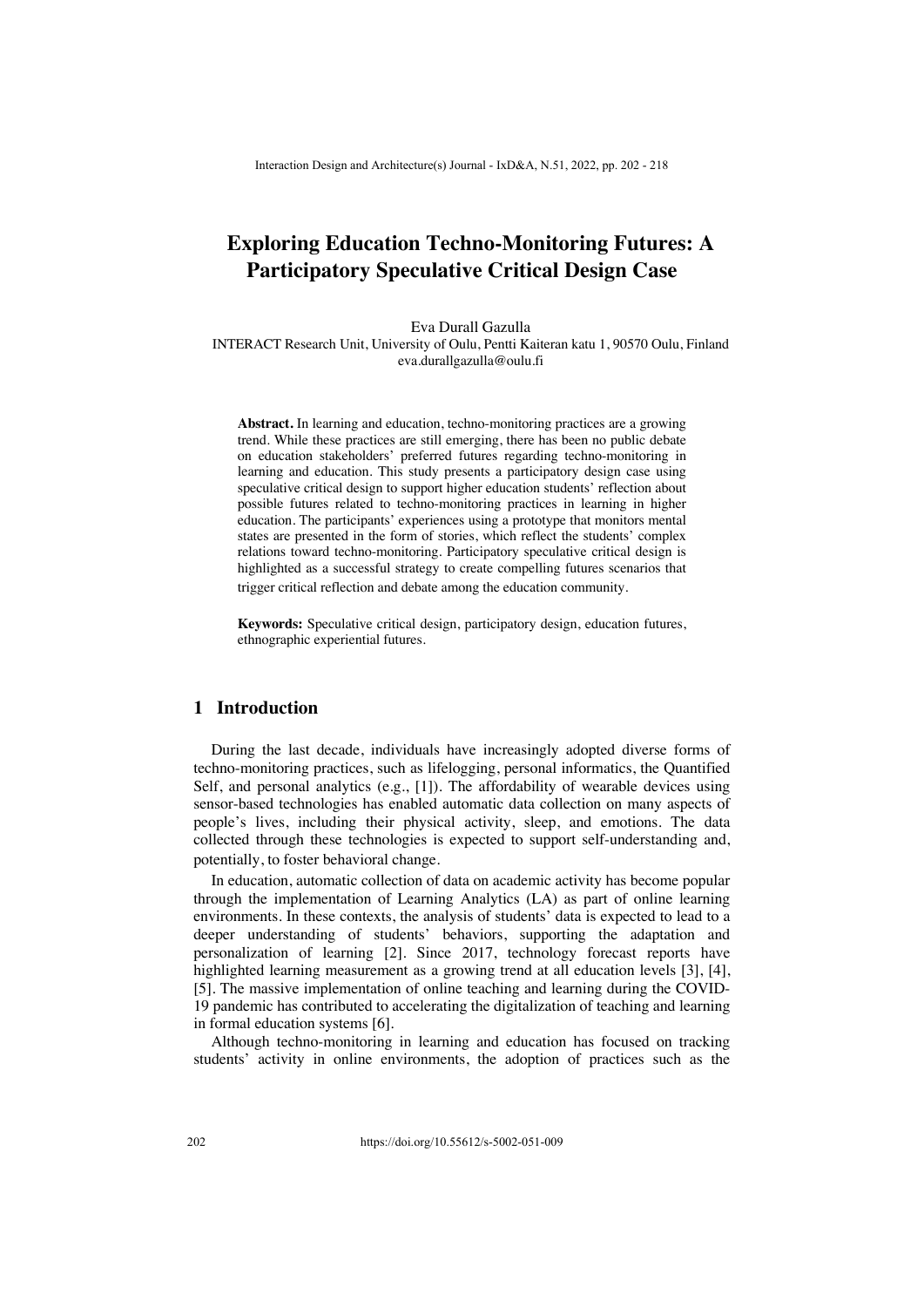# **Exploring Education Techno-Monitoring Futures: A Participatory Speculative Critical Design Case**

Eva Durall Gazulla

INTERACT Research Unit, University of Oulu, Pentti Kaiteran katu 1, 90570 Oulu, Finland eva.durallgazulla@oulu.fi

**Abstract.** In learning and education, techno-monitoring practices are a growing trend. While these practices are still emerging, there has been no public debate on education stakeholders' preferred futures regarding techno-monitoring in learning and education. This study presents a participatory design case using speculative critical design to support higher education students' reflection about possible futures related to techno-monitoring practices in learning in higher education. The participants' experiences using a prototype that monitors mental states are presented in the form of stories, which reflect the students' complex relations toward techno-monitoring. Participatory speculative critical design is highlighted as a successful strategy to create compelling futures scenarios that trigger critical reflection and debate among the education community.

**Keywords:** Speculative critical design, participatory design, education futures, ethnographic experiential futures.

### **1 Introduction**

During the last decade, individuals have increasingly adopted diverse forms of techno-monitoring practices, such as lifelogging, personal informatics, the Quantified Self, and personal analytics (e.g.,  $[1]$ ). The affordability of wearable devices using sensor-based technologies has enabled automatic data collection on many aspects of people's lives, including their physical activity, sleep, and emotions. The data collected through these technologies is expected to support self-understanding and, potentially, to foster behavioral change.

In education, automatic collection of data on academic activity has become popular through the implementation of Learning Analytics (LA) as part of online learning environments. In these contexts, the analysis of students' data is expected to lead to a deeper understanding of students' behaviors, supporting the adaptation and personalization of learning [2]. Since 2017, technology forecast reports have highlighted learning measurement as a growing trend at all education levels [3], [4], [5]. The massive implementation of online teaching and learning during the COVID-19 pandemic has contributed to accelerating the digitalization of teaching and learning in formal education systems [6].

Although techno-monitoring in learning and education has focused on tracking students' activity in online environments, the adoption of practices such as the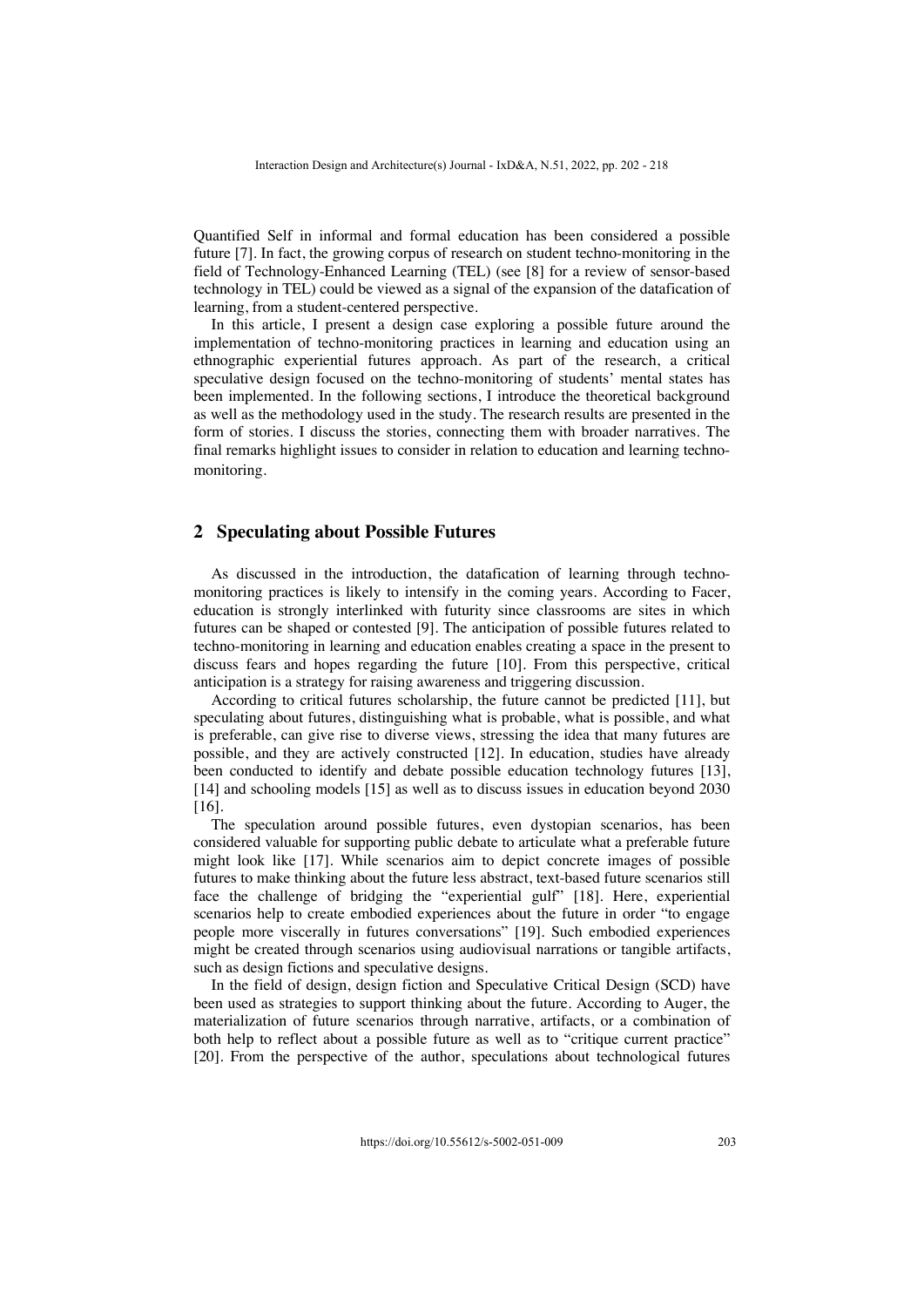Quantified Self in informal and formal education has been considered a possible future [7]. In fact, the growing corpus of research on student techno-monitoring in the field of Technology-Enhanced Learning (TEL) (see [8] for a review of sensor-based technology in TEL) could be viewed as a signal of the expansion of the datafication of learning, from a student-centered perspective.

In this article, I present a design case exploring a possible future around the implementation of techno-monitoring practices in learning and education using an ethnographic experiential futures approach. As part of the research, a critical speculative design focused on the techno-monitoring of students' mental states has been implemented. In the following sections, I introduce the theoretical background as well as the methodology used in the study. The research results are presented in the form of stories. I discuss the stories, connecting them with broader narratives. The final remarks highlight issues to consider in relation to education and learning technomonitoring.

## **2 Speculating about Possible Futures**

As discussed in the introduction, the datafication of learning through technomonitoring practices is likely to intensify in the coming years. According to Facer, education is strongly interlinked with futurity since classrooms are sites in which futures can be shaped or contested [9]. The anticipation of possible futures related to techno-monitoring in learning and education enables creating a space in the present to discuss fears and hopes regarding the future [10]. From this perspective, critical anticipation is a strategy for raising awareness and triggering discussion.

According to critical futures scholarship, the future cannot be predicted [11], but speculating about futures, distinguishing what is probable, what is possible, and what is preferable, can give rise to diverse views, stressing the idea that many futures are possible, and they are actively constructed [12]. In education, studies have already been conducted to identify and debate possible education technology futures [13], [14] and schooling models [15] as well as to discuss issues in education beyond 2030 [16].

The speculation around possible futures, even dystopian scenarios, has been considered valuable for supporting public debate to articulate what a preferable future might look like [17]. While scenarios aim to depict concrete images of possible futures to make thinking about the future less abstract, text-based future scenarios still face the challenge of bridging the "experiential gulf" [18]. Here, experiential scenarios help to create embodied experiences about the future in order "to engage people more viscerally in futures conversations" [19]. Such embodied experiences might be created through scenarios using audiovisual narrations or tangible artifacts, such as design fictions and speculative designs.

In the field of design, design fiction and Speculative Critical Design (SCD) have been used as strategies to support thinking about the future. According to Auger, the materialization of future scenarios through narrative, artifacts, or a combination of both help to reflect about a possible future as well as to "critique current practice" [20]. From the perspective of the author, speculations about technological futures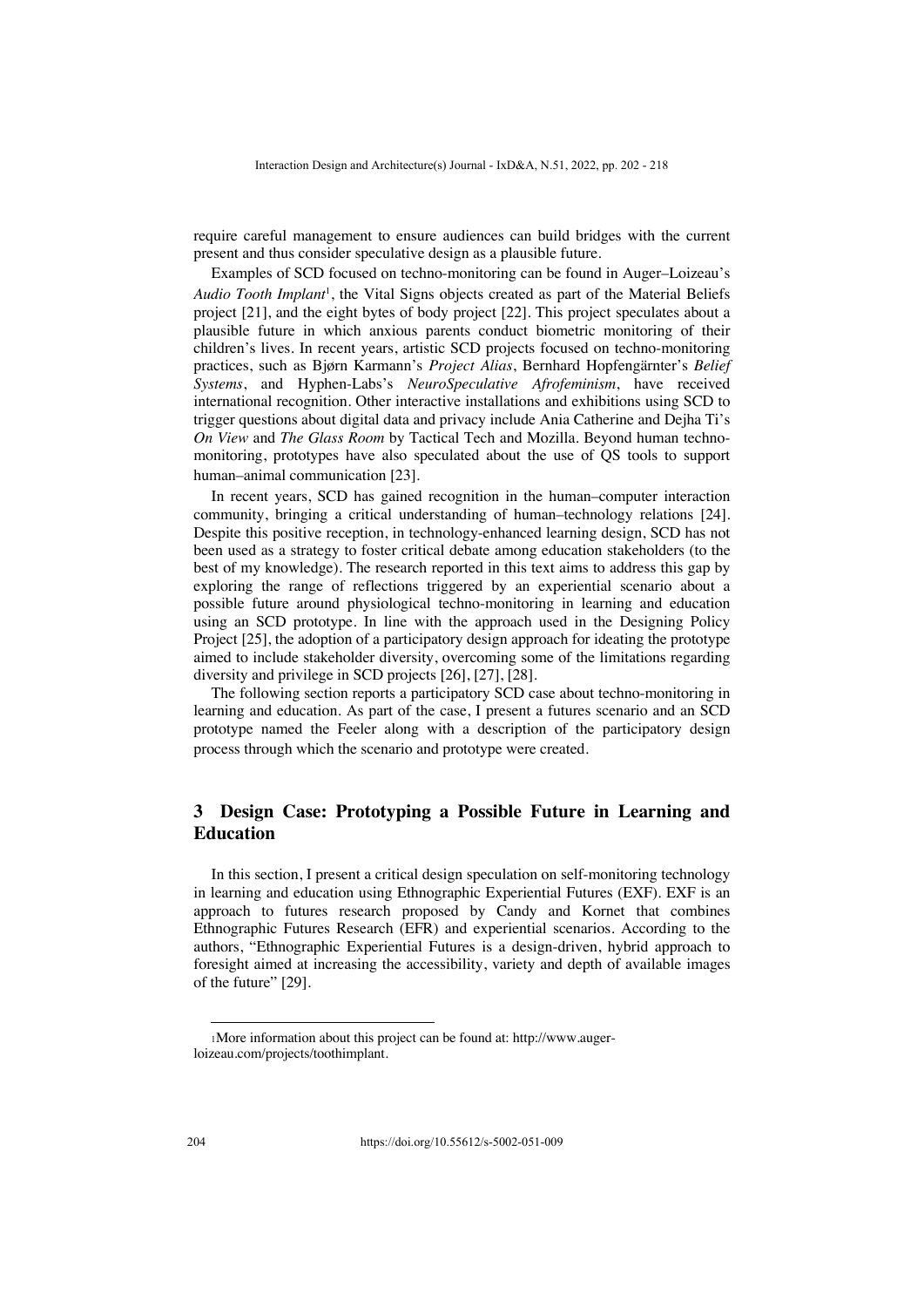require careful management to ensure audiences can build bridges with the current present and thus consider speculative design as a plausible future.

Examples of SCD focused on techno-monitoring can be found in Auger–Loizeau's *Audio Tooth Implant*1, the Vital Signs objects created as part of the Material Beliefs project [21], and the eight bytes of body project [22]. This project speculates about a plausible future in which anxious parents conduct biometric monitoring of their children's lives. In recent years, artistic SCD projects focused on techno-monitoring practices, such as Bjørn Karmann's *Project Alias*, Bernhard Hopfengärnter's *Belief Systems*, and Hyphen-Labs's *NeuroSpeculative Afrofeminism*, have received international recognition. Other interactive installations and exhibitions using SCD to trigger questions about digital data and privacy include Ania Catherine and Dejha Ti's *On View* and *The Glass Room* by Tactical Tech and Mozilla. Beyond human technomonitoring, prototypes have also speculated about the use of QS tools to support human–animal communication [23].

In recent years, SCD has gained recognition in the human–computer interaction community, bringing a critical understanding of human–technology relations [24]. Despite this positive reception, in technology-enhanced learning design, SCD has not been used as a strategy to foster critical debate among education stakeholders (to the best of my knowledge). The research reported in this text aims to address this gap by exploring the range of reflections triggered by an experiential scenario about a possible future around physiological techno-monitoring in learning and education using an SCD prototype. In line with the approach used in the Designing Policy Project [25], the adoption of a participatory design approach for ideating the prototype aimed to include stakeholder diversity, overcoming some of the limitations regarding diversity and privilege in SCD projects [26], [27], [28].

The following section reports a participatory SCD case about techno-monitoring in learning and education. As part of the case, I present a futures scenario and an SCD prototype named the Feeler along with a description of the participatory design process through which the scenario and prototype were created.

# **3 Design Case: Prototyping a Possible Future in Learning and Education**

In this section, I present a critical design speculation on self-monitoring technology in learning and education using Ethnographic Experiential Futures (EXF). EXF is an approach to futures research proposed by Candy and Kornet that combines Ethnographic Futures Research (EFR) and experiential scenarios. According to the authors, "Ethnographic Experiential Futures is a design-driven, hybrid approach to foresight aimed at increasing the accessibility, variety and depth of available images of the future" [29].

<sup>1</sup>More information about this project can be found at: http://www.augerloizeau.com/projects/toothimplant.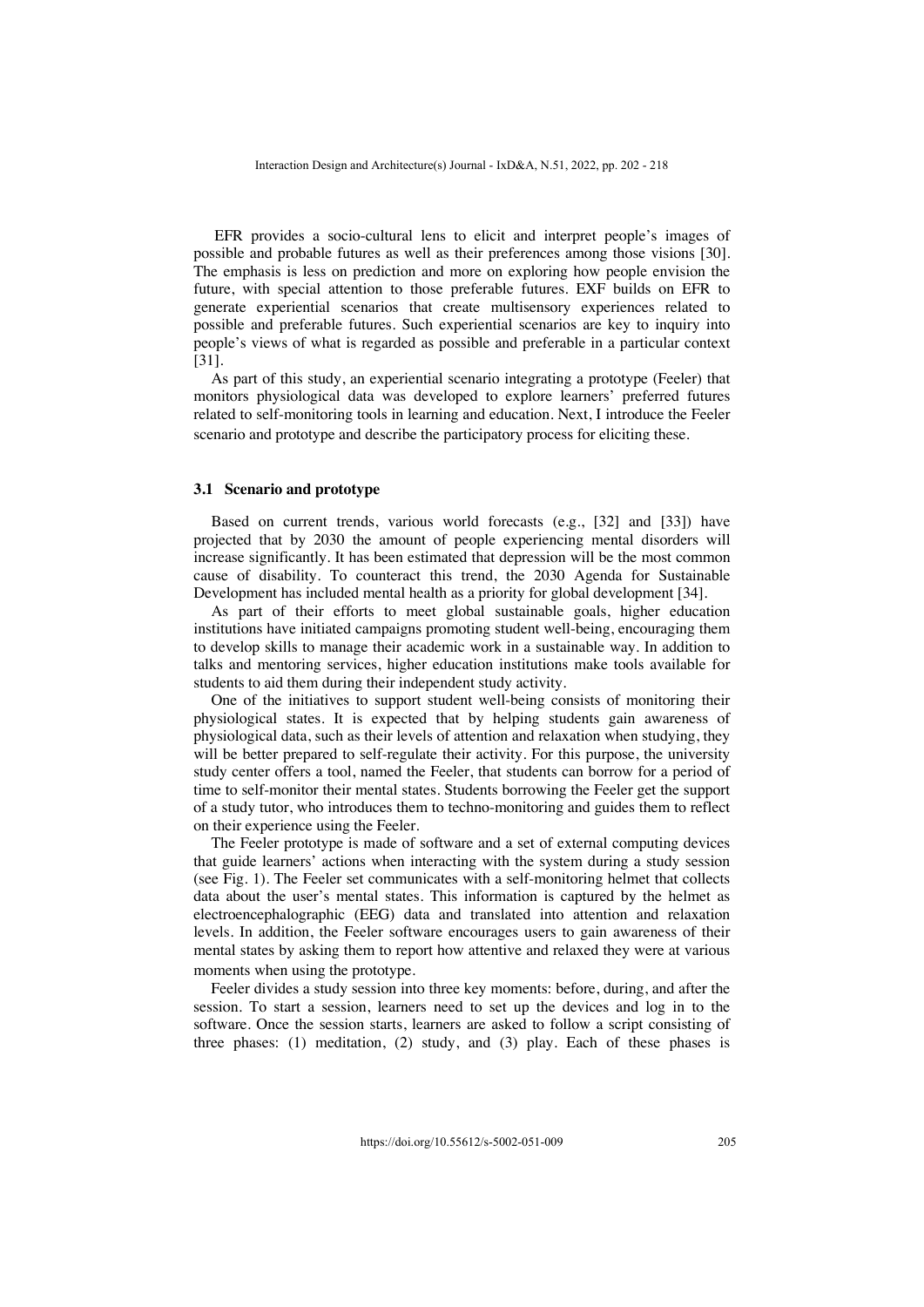EFR provides a socio-cultural lens to elicit and interpret people's images of possible and probable futures as well as their preferences among those visions [30]. The emphasis is less on prediction and more on exploring how people envision the future, with special attention to those preferable futures. EXF builds on EFR to generate experiential scenarios that create multisensory experiences related to possible and preferable futures. Such experiential scenarios are key to inquiry into people's views of what is regarded as possible and preferable in a particular context [31].

As part of this study, an experiential scenario integrating a prototype (Feeler) that monitors physiological data was developed to explore learners' preferred futures related to self-monitoring tools in learning and education. Next, I introduce the Feeler scenario and prototype and describe the participatory process for eliciting these.

#### **3.1 Scenario and prototype**

Based on current trends, various world forecasts (e.g., [32] and [33]) have projected that by 2030 the amount of people experiencing mental disorders will increase significantly. It has been estimated that depression will be the most common cause of disability. To counteract this trend, the 2030 Agenda for Sustainable Development has included mental health as a priority for global development [34].

As part of their efforts to meet global sustainable goals, higher education institutions have initiated campaigns promoting student well-being, encouraging them to develop skills to manage their academic work in a sustainable way. In addition to talks and mentoring services, higher education institutions make tools available for students to aid them during their independent study activity.

One of the initiatives to support student well-being consists of monitoring their physiological states. It is expected that by helping students gain awareness of physiological data, such as their levels of attention and relaxation when studying, they will be better prepared to self-regulate their activity. For this purpose, the university study center offers a tool, named the Feeler, that students can borrow for a period of time to self-monitor their mental states. Students borrowing the Feeler get the support of a study tutor, who introduces them to techno-monitoring and guides them to reflect on their experience using the Feeler.

The Feeler prototype is made of software and a set of external computing devices that guide learners' actions when interacting with the system during a study session (see Fig. 1). The Feeler set communicates with a self-monitoring helmet that collects data about the user's mental states. This information is captured by the helmet as electroencephalographic (EEG) data and translated into attention and relaxation levels. In addition, the Feeler software encourages users to gain awareness of their mental states by asking them to report how attentive and relaxed they were at various moments when using the prototype.

Feeler divides a study session into three key moments: before, during, and after the session. To start a session, learners need to set up the devices and log in to the software. Once the session starts, learners are asked to follow a script consisting of three phases: (1) meditation, (2) study, and (3) play. Each of these phases is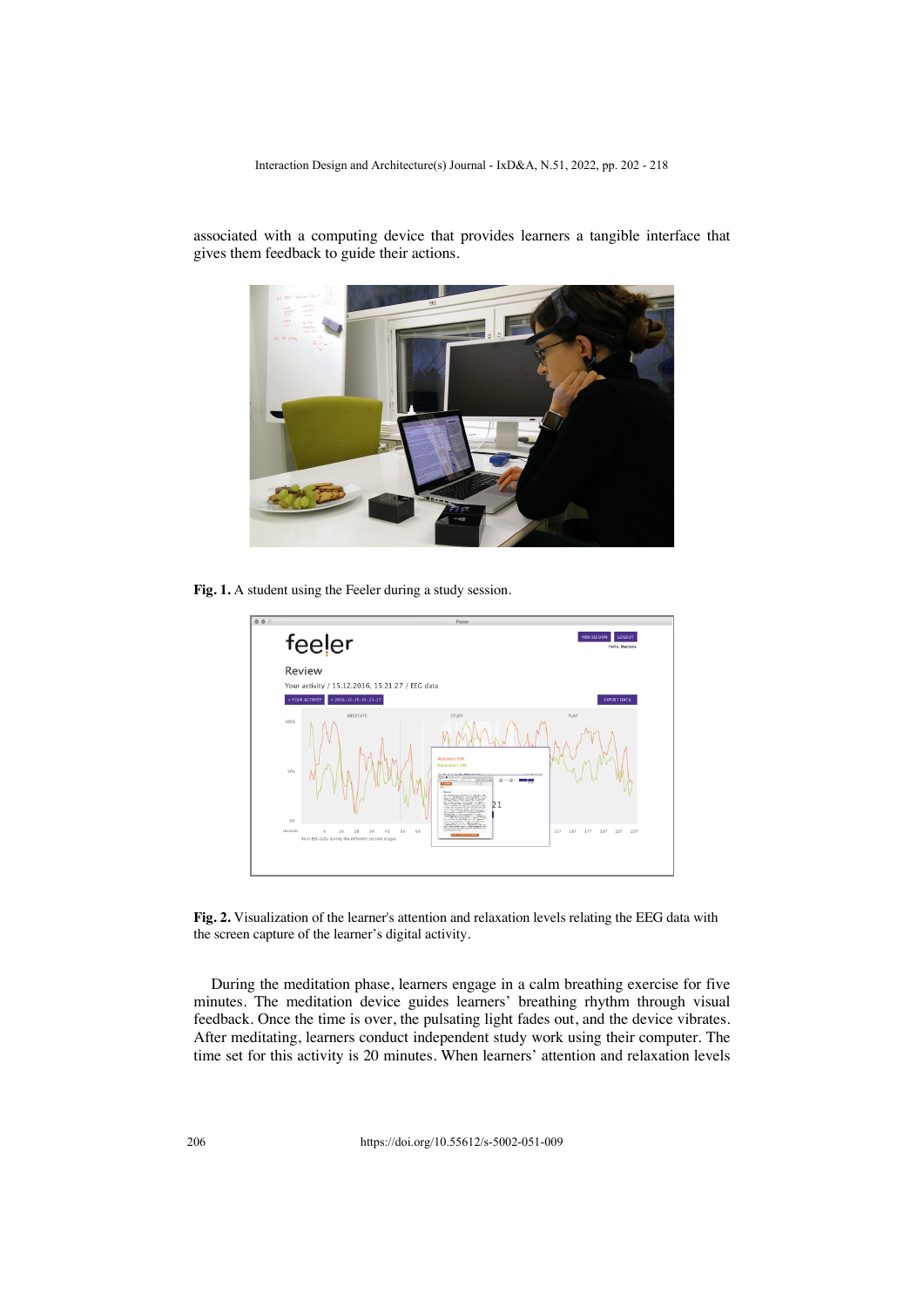associated with a computing device that provides learners a tangible interface that gives them feedback to guide their actions.



**Fig. 1.** A student using the Feeler during a study session.



**Fig. 2.** Visualization of the learner's attention and relaxation levels relating the EEG data with the screen capture of the learner's digital activity.

During the meditation phase, learners engage in a calm breathing exercise for five minutes. The meditation device guides learners' breathing rhythm through visual feedback. Once the time is over, the pulsating light fades out, and the device vibrates. After meditating, learners conduct independent study work using their computer. The time set for this activity is 20 minutes. When learners' attention and relaxation levels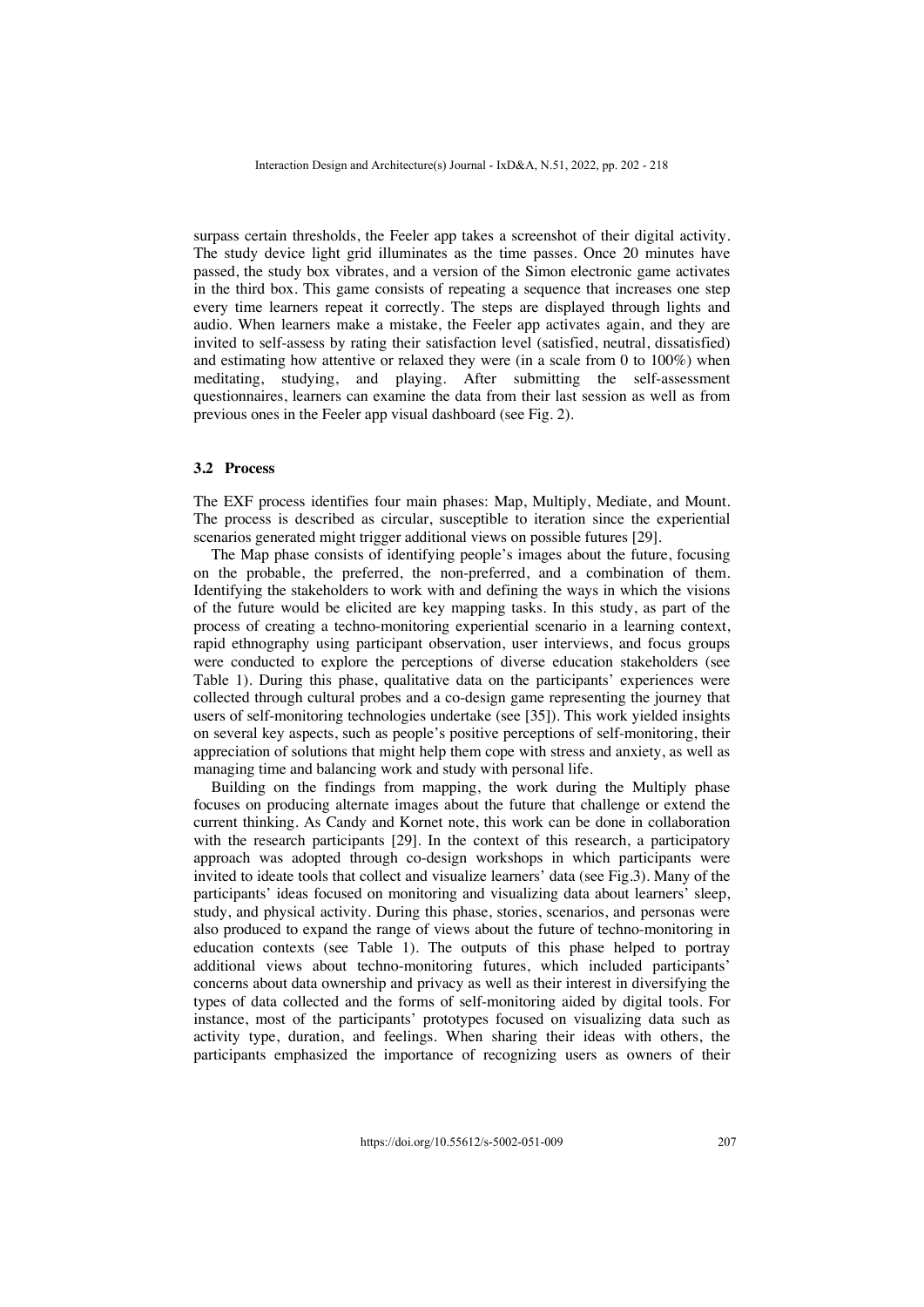surpass certain thresholds, the Feeler app takes a screenshot of their digital activity. The study device light grid illuminates as the time passes. Once 20 minutes have passed, the study box vibrates, and a version of the Simon electronic game activates in the third box. This game consists of repeating a sequence that increases one step every time learners repeat it correctly. The steps are displayed through lights and audio. When learners make a mistake, the Feeler app activates again, and they are invited to self-assess by rating their satisfaction level (satisfied, neutral, dissatisfied) and estimating how attentive or relaxed they were (in a scale from 0 to 100%) when meditating, studying, and playing. After submitting the self-assessment questionnaires, learners can examine the data from their last session as well as from previous ones in the Feeler app visual dashboard (see Fig. 2).

#### **3.2 Process**

The EXF process identifies four main phases: Map, Multiply, Mediate, and Mount. The process is described as circular, susceptible to iteration since the experiential scenarios generated might trigger additional views on possible futures [29].

The Map phase consists of identifying people's images about the future, focusing on the probable, the preferred, the non-preferred, and a combination of them. Identifying the stakeholders to work with and defining the ways in which the visions of the future would be elicited are key mapping tasks. In this study, as part of the process of creating a techno-monitoring experiential scenario in a learning context, rapid ethnography using participant observation, user interviews, and focus groups were conducted to explore the perceptions of diverse education stakeholders (see Table 1). During this phase, qualitative data on the participants' experiences were collected through cultural probes and a co-design game representing the journey that users of self-monitoring technologies undertake (see [35]). This work yielded insights on several key aspects, such as people's positive perceptions of self-monitoring, their appreciation of solutions that might help them cope with stress and anxiety, as well as managing time and balancing work and study with personal life.

Building on the findings from mapping, the work during the Multiply phase focuses on producing alternate images about the future that challenge or extend the current thinking. As Candy and Kornet note, this work can be done in collaboration with the research participants [29]. In the context of this research, a participatory approach was adopted through co-design workshops in which participants were invited to ideate tools that collect and visualize learners' data (see Fig.3). Many of the participants' ideas focused on monitoring and visualizing data about learners' sleep, study, and physical activity. During this phase, stories, scenarios, and personas were also produced to expand the range of views about the future of techno-monitoring in education contexts (see Table 1). The outputs of this phase helped to portray additional views about techno-monitoring futures, which included participants' concerns about data ownership and privacy as well as their interest in diversifying the types of data collected and the forms of self-monitoring aided by digital tools. For instance, most of the participants' prototypes focused on visualizing data such as activity type, duration, and feelings. When sharing their ideas with others, the participants emphasized the importance of recognizing users as owners of their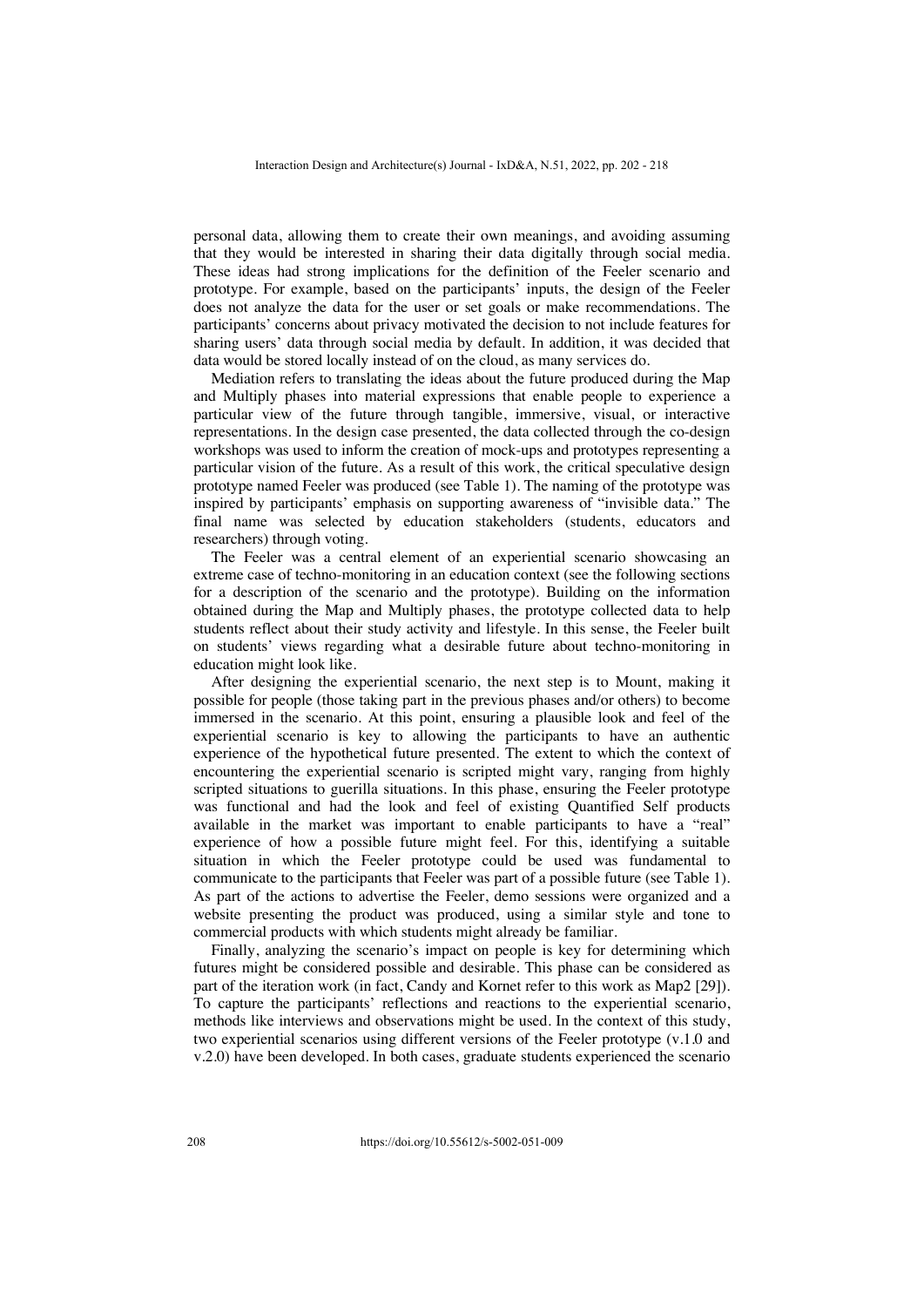personal data, allowing them to create their own meanings, and avoiding assuming that they would be interested in sharing their data digitally through social media. These ideas had strong implications for the definition of the Feeler scenario and prototype. For example, based on the participants' inputs, the design of the Feeler does not analyze the data for the user or set goals or make recommendations. The participants' concerns about privacy motivated the decision to not include features for sharing users' data through social media by default. In addition, it was decided that data would be stored locally instead of on the cloud, as many services do.

Mediation refers to translating the ideas about the future produced during the Map and Multiply phases into material expressions that enable people to experience a particular view of the future through tangible, immersive, visual, or interactive representations. In the design case presented, the data collected through the co-design workshops was used to inform the creation of mock-ups and prototypes representing a particular vision of the future. As a result of this work, the critical speculative design prototype named Feeler was produced (see Table 1). The naming of the prototype was inspired by participants' emphasis on supporting awareness of "invisible data." The final name was selected by education stakeholders (students, educators and researchers) through voting.

The Feeler was a central element of an experiential scenario showcasing an extreme case of techno-monitoring in an education context (see the following sections for a description of the scenario and the prototype). Building on the information obtained during the Map and Multiply phases, the prototype collected data to help students reflect about their study activity and lifestyle. In this sense, the Feeler built on students' views regarding what a desirable future about techno-monitoring in education might look like.

After designing the experiential scenario, the next step is to Mount, making it possible for people (those taking part in the previous phases and/or others) to become immersed in the scenario. At this point, ensuring a plausible look and feel of the experiential scenario is key to allowing the participants to have an authentic experience of the hypothetical future presented. The extent to which the context of encountering the experiential scenario is scripted might vary, ranging from highly scripted situations to guerilla situations. In this phase, ensuring the Feeler prototype was functional and had the look and feel of existing Quantified Self products available in the market was important to enable participants to have a "real" experience of how a possible future might feel. For this, identifying a suitable situation in which the Feeler prototype could be used was fundamental to communicate to the participants that Feeler was part of a possible future (see Table 1). As part of the actions to advertise the Feeler, demo sessions were organized and a website presenting the product was produced, using a similar style and tone to commercial products with which students might already be familiar.

Finally, analyzing the scenario's impact on people is key for determining which futures might be considered possible and desirable. This phase can be considered as part of the iteration work (in fact, Candy and Kornet refer to this work as Map2 [29]). To capture the participants' reflections and reactions to the experiential scenario, methods like interviews and observations might be used. In the context of this study, two experiential scenarios using different versions of the Feeler prototype (v.1.0 and v.2.0) have been developed. In both cases, graduate students experienced the scenario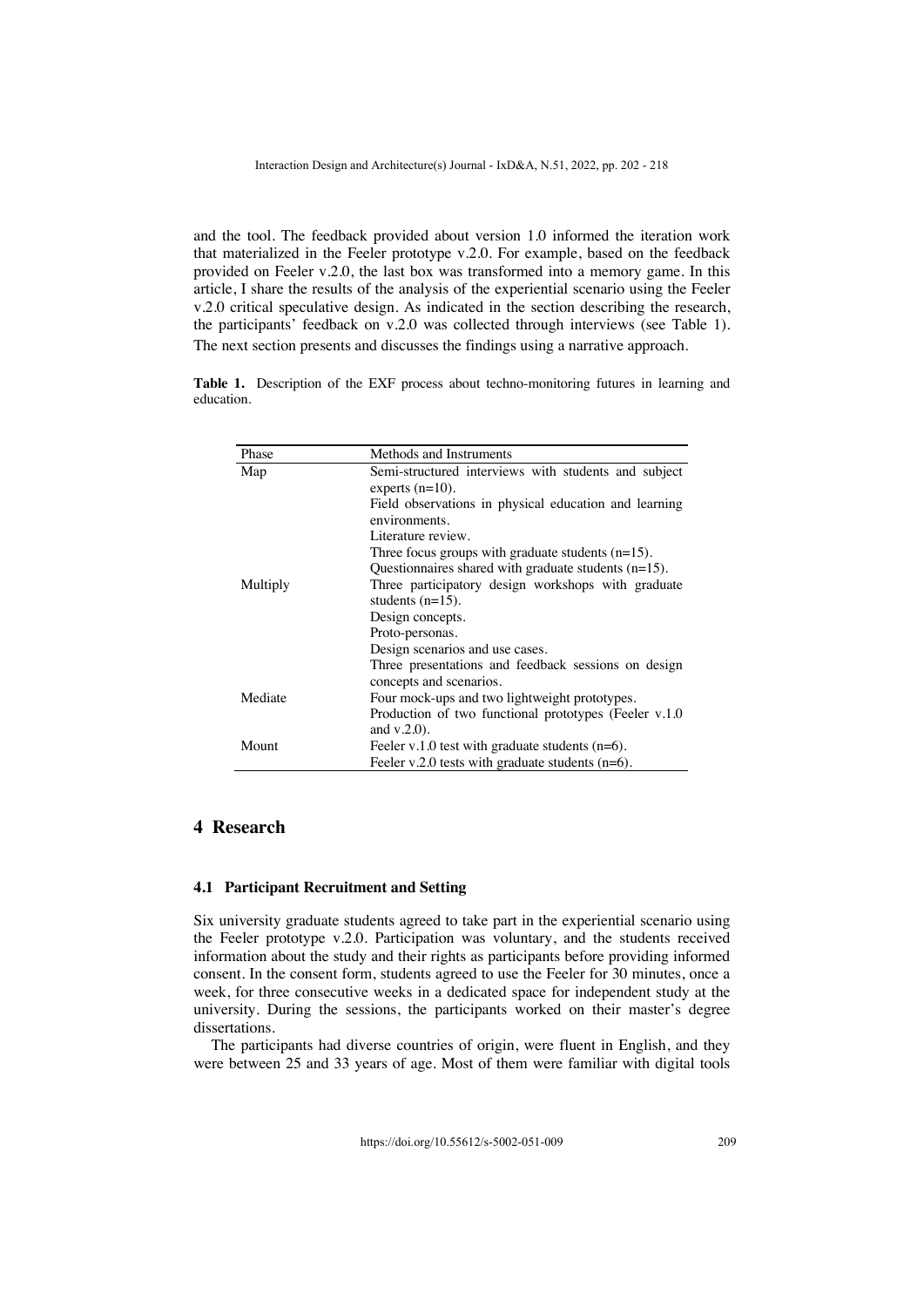and the tool. The feedback provided about version 1.0 informed the iteration work that materialized in the Feeler prototype v.2.0. For example, based on the feedback provided on Feeler v.2.0, the last box was transformed into a memory game. In this article, I share the results of the analysis of the experiential scenario using the Feeler v.2.0 critical speculative design. As indicated in the section describing the research, the participants' feedback on v.2.0 was collected through interviews (see Table 1). The next section presents and discusses the findings using a narrative approach.

**Table 1.** Description of the EXF process about techno-monitoring futures in learning and education.

| Phase    | Methods and Instruments                                                        |
|----------|--------------------------------------------------------------------------------|
| Map      | Semi-structured interviews with students and subject                           |
|          | experts $(n=10)$ .                                                             |
|          | Field observations in physical education and learning                          |
|          | environments.                                                                  |
|          | Literature review.                                                             |
|          | Three focus groups with graduate students $(n=15)$ .                           |
|          | Questionnaires shared with graduate students $(n=15)$ .                        |
| Multiply | Three participatory design workshops with graduate                             |
|          | students $(n=15)$ .                                                            |
|          | Design concepts.                                                               |
|          | Proto-personas.                                                                |
|          | Design scenarios and use cases.                                                |
|          | Three presentations and feedback sessions on design<br>concepts and scenarios. |
| Mediate  | Four mock-ups and two lightweight prototypes.                                  |
|          | Production of two functional prototypes (Feeler v.1.0)                         |
|          | and $v.2.0$ ).                                                                 |
| Mount    | Feeler v.1.0 test with graduate students $(n=6)$ .                             |
|          | Feeler v.2.0 tests with graduate students $(n=6)$ .                            |

# **4 Research**

#### **4.1 Participant Recruitment and Setting**

Six university graduate students agreed to take part in the experiential scenario using the Feeler prototype v.2.0. Participation was voluntary, and the students received information about the study and their rights as participants before providing informed consent. In the consent form, students agreed to use the Feeler for 30 minutes, once a week, for three consecutive weeks in a dedicated space for independent study at the university. During the sessions, the participants worked on their master's degree dissertations.

The participants had diverse countries of origin, were fluent in English, and they were between 25 and 33 years of age. Most of them were familiar with digital tools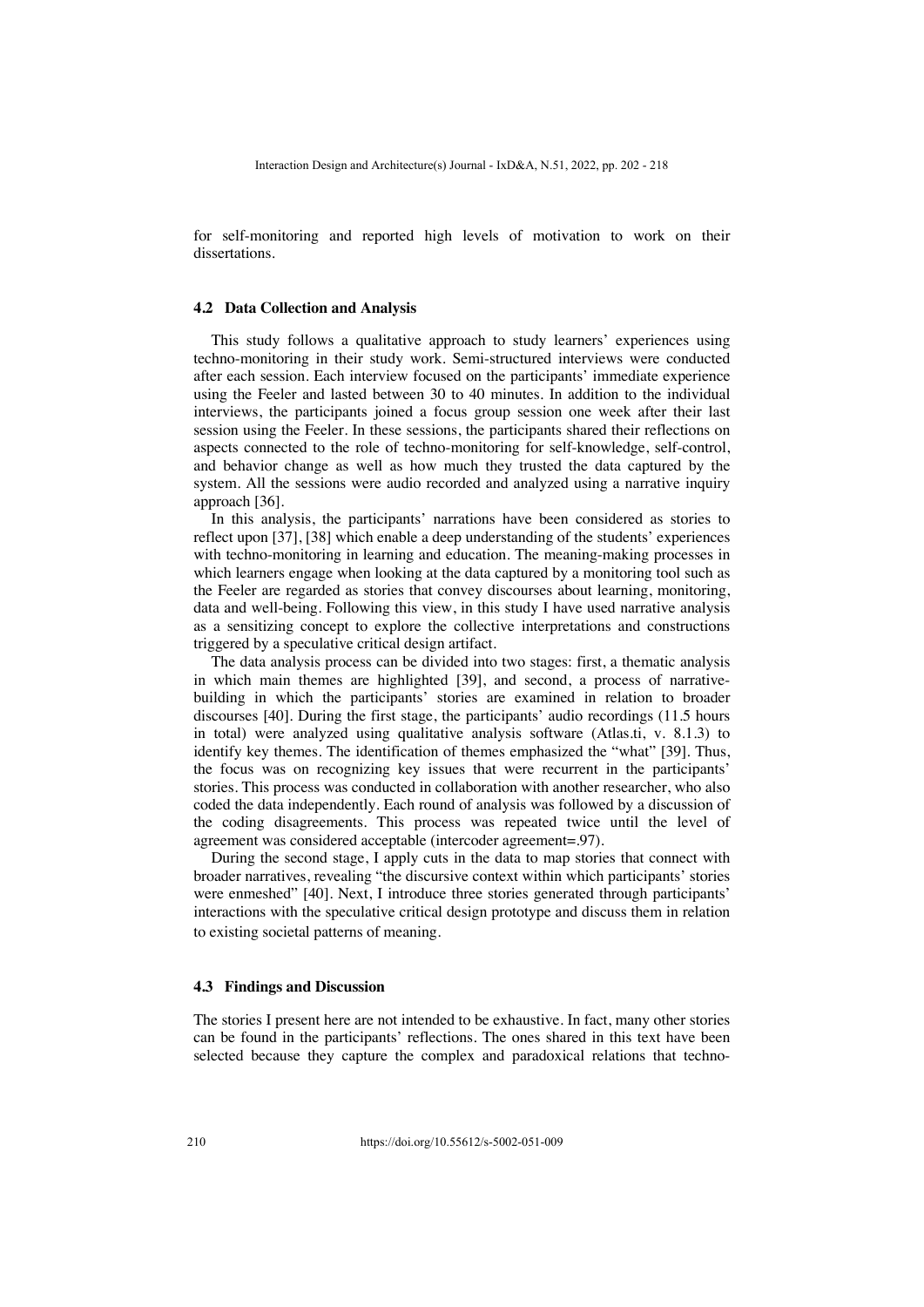for self-monitoring and reported high levels of motivation to work on their dissertations.

#### **4.2 Data Collection and Analysis**

This study follows a qualitative approach to study learners' experiences using techno-monitoring in their study work. Semi-structured interviews were conducted after each session. Each interview focused on the participants' immediate experience using the Feeler and lasted between 30 to 40 minutes. In addition to the individual interviews, the participants joined a focus group session one week after their last session using the Feeler. In these sessions, the participants shared their reflections on aspects connected to the role of techno-monitoring for self-knowledge, self-control, and behavior change as well as how much they trusted the data captured by the system. All the sessions were audio recorded and analyzed using a narrative inquiry approach [36].

In this analysis, the participants' narrations have been considered as stories to reflect upon [37], [38] which enable a deep understanding of the students' experiences with techno-monitoring in learning and education. The meaning-making processes in which learners engage when looking at the data captured by a monitoring tool such as the Feeler are regarded as stories that convey discourses about learning, monitoring, data and well-being. Following this view, in this study I have used narrative analysis as a sensitizing concept to explore the collective interpretations and constructions triggered by a speculative critical design artifact.

The data analysis process can be divided into two stages: first, a thematic analysis in which main themes are highlighted [39], and second, a process of narrativebuilding in which the participants' stories are examined in relation to broader discourses [40]. During the first stage, the participants' audio recordings (11.5 hours in total) were analyzed using qualitative analysis software (Atlas.ti, v. 8.1.3) to identify key themes. The identification of themes emphasized the "what" [39]. Thus, the focus was on recognizing key issues that were recurrent in the participants' stories. This process was conducted in collaboration with another researcher, who also coded the data independently. Each round of analysis was followed by a discussion of the coding disagreements. This process was repeated twice until the level of agreement was considered acceptable (intercoder agreement=.97).

During the second stage, I apply cuts in the data to map stories that connect with broader narratives, revealing "the discursive context within which participants' stories were enmeshed" [40]. Next, I introduce three stories generated through participants' interactions with the speculative critical design prototype and discuss them in relation to existing societal patterns of meaning.

#### **4.3 Findings and Discussion**

The stories I present here are not intended to be exhaustive. In fact, many other stories can be found in the participants' reflections. The ones shared in this text have been selected because they capture the complex and paradoxical relations that techno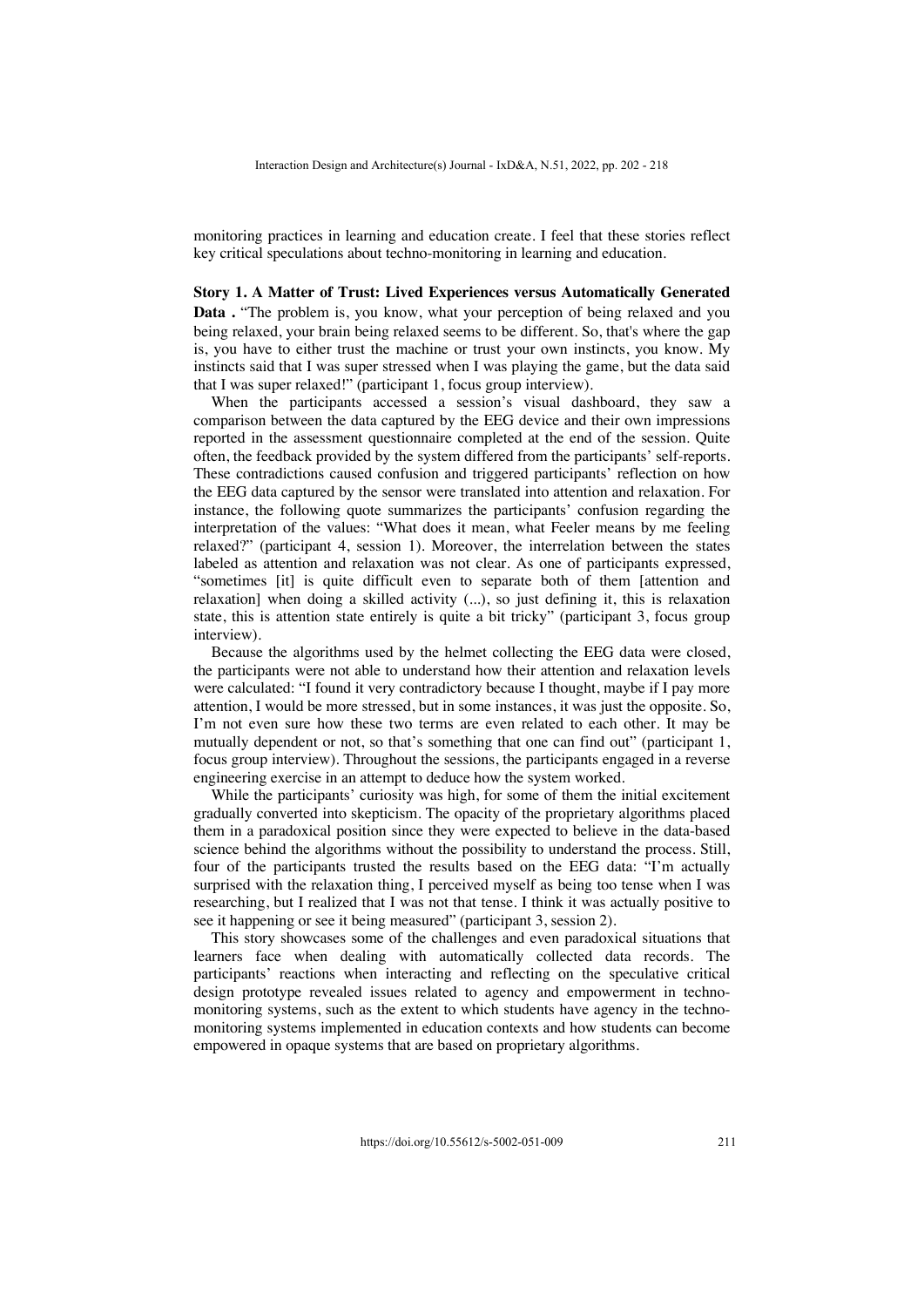monitoring practices in learning and education create. I feel that these stories reflect key critical speculations about techno-monitoring in learning and education.

#### **Story 1. A Matter of Trust: Lived Experiences versus Automatically Generated**

**Data .** "The problem is, you know, what your perception of being relaxed and you being relaxed, your brain being relaxed seems to be different. So, that's where the gap is, you have to either trust the machine or trust your own instincts, you know. My instincts said that I was super stressed when I was playing the game, but the data said that I was super relaxed!" (participant 1, focus group interview).

When the participants accessed a session's visual dashboard, they saw a comparison between the data captured by the EEG device and their own impressions reported in the assessment questionnaire completed at the end of the session. Quite often, the feedback provided by the system differed from the participants' self-reports. These contradictions caused confusion and triggered participants' reflection on how the EEG data captured by the sensor were translated into attention and relaxation. For instance, the following quote summarizes the participants' confusion regarding the interpretation of the values: "What does it mean, what Feeler means by me feeling relaxed?" (participant 4, session 1). Moreover, the interrelation between the states labeled as attention and relaxation was not clear. As one of participants expressed, "sometimes [it] is quite difficult even to separate both of them [attention and relaxation] when doing a skilled activity (...), so just defining it, this is relaxation state, this is attention state entirely is quite a bit tricky" (participant 3, focus group interview).

Because the algorithms used by the helmet collecting the EEG data were closed, the participants were not able to understand how their attention and relaxation levels were calculated: "I found it very contradictory because I thought, maybe if I pay more attention, I would be more stressed, but in some instances, it was just the opposite. So, I'm not even sure how these two terms are even related to each other. It may be mutually dependent or not, so that's something that one can find out" (participant 1, focus group interview). Throughout the sessions, the participants engaged in a reverse engineering exercise in an attempt to deduce how the system worked.

While the participants' curiosity was high, for some of them the initial excitement gradually converted into skepticism. The opacity of the proprietary algorithms placed them in a paradoxical position since they were expected to believe in the data-based science behind the algorithms without the possibility to understand the process. Still, four of the participants trusted the results based on the EEG data: "I'm actually surprised with the relaxation thing, I perceived myself as being too tense when I was researching, but I realized that I was not that tense. I think it was actually positive to see it happening or see it being measured" (participant 3, session 2).

This story showcases some of the challenges and even paradoxical situations that learners face when dealing with automatically collected data records. The participants' reactions when interacting and reflecting on the speculative critical design prototype revealed issues related to agency and empowerment in technomonitoring systems, such as the extent to which students have agency in the technomonitoring systems implemented in education contexts and how students can become empowered in opaque systems that are based on proprietary algorithms.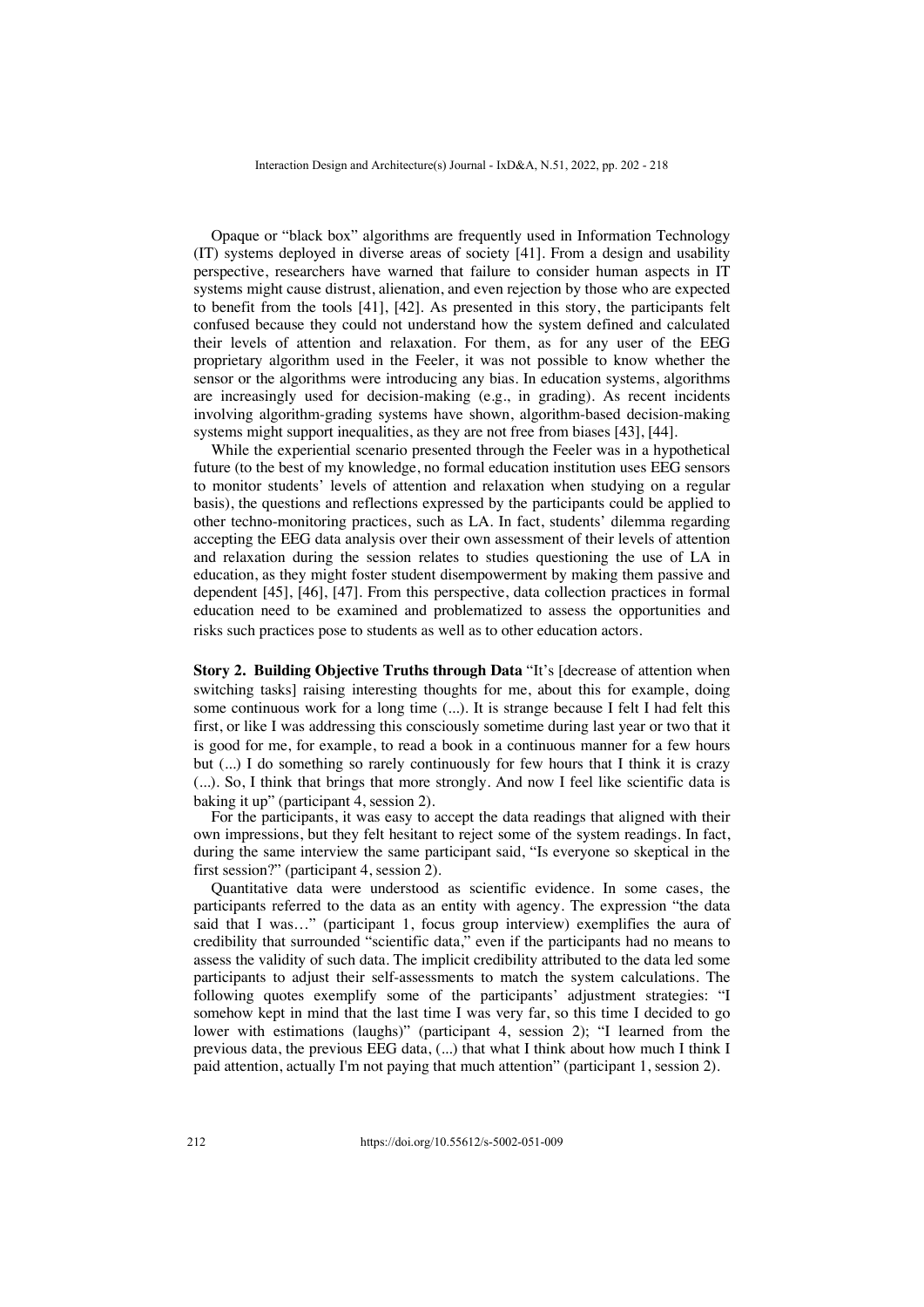Opaque or "black box" algorithms are frequently used in Information Technology (IT) systems deployed in diverse areas of society [41]. From a design and usability perspective, researchers have warned that failure to consider human aspects in IT systems might cause distrust, alienation, and even rejection by those who are expected to benefit from the tools [41], [42]. As presented in this story, the participants felt confused because they could not understand how the system defined and calculated their levels of attention and relaxation. For them, as for any user of the EEG proprietary algorithm used in the Feeler, it was not possible to know whether the sensor or the algorithms were introducing any bias. In education systems, algorithms are increasingly used for decision-making (e.g., in grading). As recent incidents involving algorithm-grading systems have shown, algorithm-based decision-making systems might support inequalities, as they are not free from biases [43], [44].

While the experiential scenario presented through the Feeler was in a hypothetical future (to the best of my knowledge, no formal education institution uses EEG sensors to monitor students' levels of attention and relaxation when studying on a regular basis), the questions and reflections expressed by the participants could be applied to other techno-monitoring practices, such as LA. In fact, students' dilemma regarding accepting the EEG data analysis over their own assessment of their levels of attention and relaxation during the session relates to studies questioning the use of LA in education, as they might foster student disempowerment by making them passive and dependent [45], [46], [47]. From this perspective, data collection practices in formal education need to be examined and problematized to assess the opportunities and risks such practices pose to students as well as to other education actors.

**Story 2. Building Objective Truths through Data** "It's [decrease of attention when switching tasks] raising interesting thoughts for me, about this for example, doing some continuous work for a long time (...). It is strange because I felt I had felt this first, or like I was addressing this consciously sometime during last year or two that it is good for me, for example, to read a book in a continuous manner for a few hours but (...) I do something so rarely continuously for few hours that I think it is crazy (...). So, I think that brings that more strongly. And now I feel like scientific data is baking it up" (participant 4, session 2).

For the participants, it was easy to accept the data readings that aligned with their own impressions, but they felt hesitant to reject some of the system readings. In fact, during the same interview the same participant said, "Is everyone so skeptical in the first session?" (participant 4, session 2).

Quantitative data were understood as scientific evidence. In some cases, the participants referred to the data as an entity with agency. The expression "the data said that I was…" (participant 1, focus group interview) exemplifies the aura of credibility that surrounded "scientific data," even if the participants had no means to assess the validity of such data. The implicit credibility attributed to the data led some participants to adjust their self-assessments to match the system calculations. The following quotes exemplify some of the participants' adjustment strategies: "I somehow kept in mind that the last time I was very far, so this time I decided to go lower with estimations (laughs)" (participant 4, session 2); "I learned from the previous data, the previous EEG data, (...) that what I think about how much I think I paid attention, actually I'm not paying that much attention" (participant 1, session 2).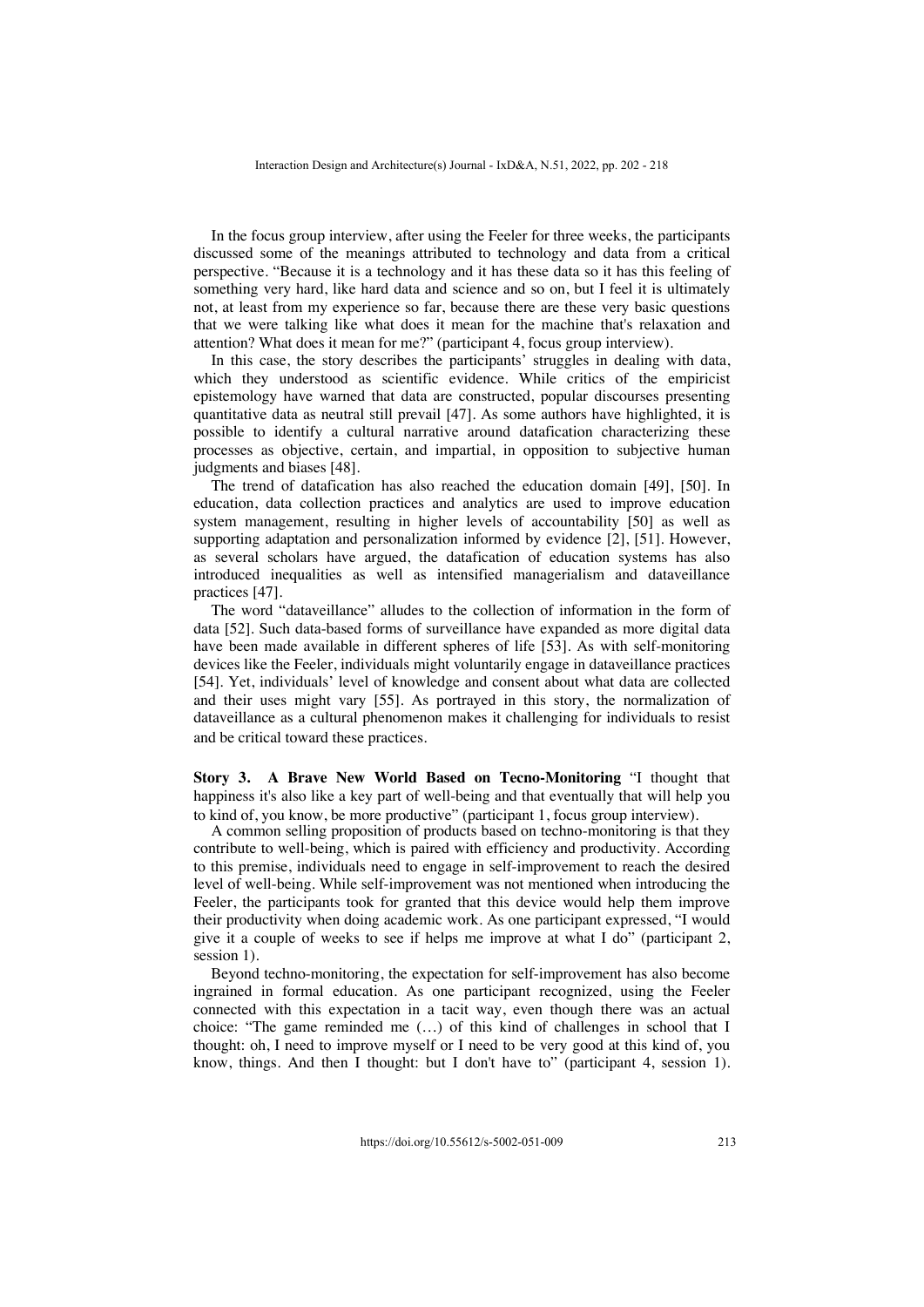In the focus group interview, after using the Feeler for three weeks, the participants discussed some of the meanings attributed to technology and data from a critical perspective. "Because it is a technology and it has these data so it has this feeling of something very hard, like hard data and science and so on, but I feel it is ultimately not, at least from my experience so far, because there are these very basic questions that we were talking like what does it mean for the machine that's relaxation and attention? What does it mean for me?" (participant 4, focus group interview).

In this case, the story describes the participants' struggles in dealing with data, which they understood as scientific evidence. While critics of the empiricist epistemology have warned that data are constructed, popular discourses presenting quantitative data as neutral still prevail [47]. As some authors have highlighted, it is possible to identify a cultural narrative around datafication characterizing these processes as objective, certain, and impartial, in opposition to subjective human judgments and biases [48].

The trend of datafication has also reached the education domain [49], [50]. In education, data collection practices and analytics are used to improve education system management, resulting in higher levels of accountability [50] as well as supporting adaptation and personalization informed by evidence [2], [51]. However, as several scholars have argued, the datafication of education systems has also introduced inequalities as well as intensified managerialism and dataveillance practices [47].

The word "dataveillance" alludes to the collection of information in the form of data [52]. Such data-based forms of surveillance have expanded as more digital data have been made available in different spheres of life [53]. As with self-monitoring devices like the Feeler, individuals might voluntarily engage in dataveillance practices [54]. Yet, individuals' level of knowledge and consent about what data are collected and their uses might vary [55]. As portrayed in this story, the normalization of dataveillance as a cultural phenomenon makes it challenging for individuals to resist and be critical toward these practices.

**Story 3. A Brave New World Based on Tecno-Monitoring** "I thought that happiness it's also like a key part of well-being and that eventually that will help you to kind of, you know, be more productive" (participant 1, focus group interview).

A common selling proposition of products based on techno-monitoring is that they contribute to well-being, which is paired with efficiency and productivity. According to this premise, individuals need to engage in self-improvement to reach the desired level of well-being. While self-improvement was not mentioned when introducing the Feeler, the participants took for granted that this device would help them improve their productivity when doing academic work. As one participant expressed, "I would give it a couple of weeks to see if helps me improve at what I do" (participant 2, session 1).

Beyond techno-monitoring, the expectation for self-improvement has also become ingrained in formal education. As one participant recognized, using the Feeler connected with this expectation in a tacit way, even though there was an actual choice: "The game reminded me (…) of this kind of challenges in school that I thought: oh, I need to improve myself or I need to be very good at this kind of, you know, things. And then I thought: but I don't have to" (participant 4, session 1).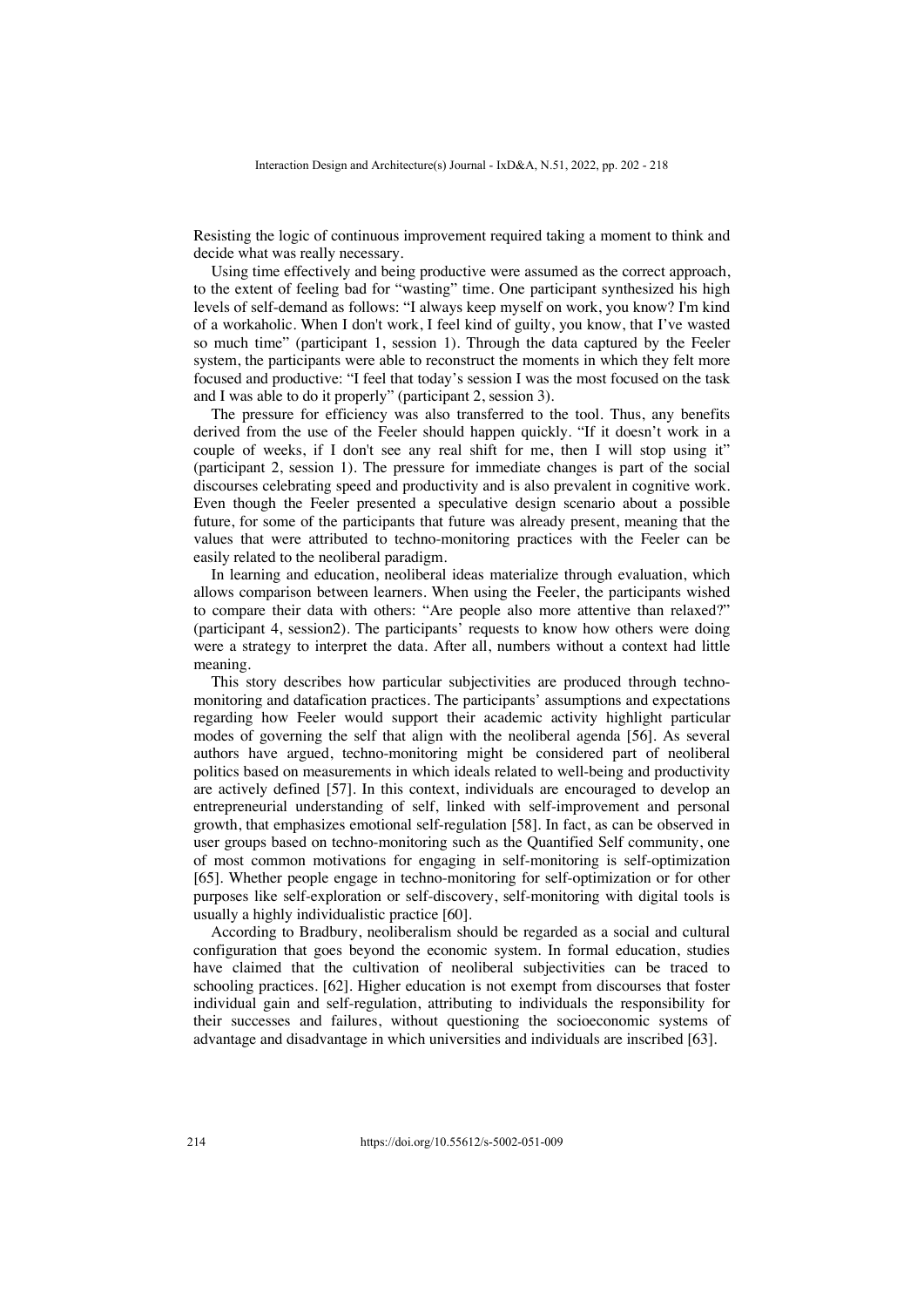Resisting the logic of continuous improvement required taking a moment to think and decide what was really necessary.

Using time effectively and being productive were assumed as the correct approach, to the extent of feeling bad for "wasting" time. One participant synthesized his high levels of self-demand as follows: "I always keep myself on work, you know? I'm kind of a workaholic. When I don't work, I feel kind of guilty, you know, that I've wasted so much time" (participant 1, session 1). Through the data captured by the Feeler system, the participants were able to reconstruct the moments in which they felt more focused and productive: "I feel that today's session I was the most focused on the task and I was able to do it properly" (participant 2, session 3).

The pressure for efficiency was also transferred to the tool. Thus, any benefits derived from the use of the Feeler should happen quickly. "If it doesn't work in a couple of weeks, if I don't see any real shift for me, then I will stop using it" (participant 2, session 1). The pressure for immediate changes is part of the social discourses celebrating speed and productivity and is also prevalent in cognitive work. Even though the Feeler presented a speculative design scenario about a possible future, for some of the participants that future was already present, meaning that the values that were attributed to techno-monitoring practices with the Feeler can be easily related to the neoliberal paradigm.

In learning and education, neoliberal ideas materialize through evaluation, which allows comparison between learners. When using the Feeler, the participants wished to compare their data with others: "Are people also more attentive than relaxed?" (participant 4, session2). The participants' requests to know how others were doing were a strategy to interpret the data. After all, numbers without a context had little meaning.

This story describes how particular subjectivities are produced through technomonitoring and datafication practices. The participants' assumptions and expectations regarding how Feeler would support their academic activity highlight particular modes of governing the self that align with the neoliberal agenda [56]. As several authors have argued, techno-monitoring might be considered part of neoliberal politics based on measurements in which ideals related to well-being and productivity are actively defined [57]. In this context, individuals are encouraged to develop an entrepreneurial understanding of self, linked with self-improvement and personal growth, that emphasizes emotional self-regulation [58]. In fact, as can be observed in user groups based on techno-monitoring such as the Quantified Self community, one of most common motivations for engaging in self-monitoring is self-optimization [65]. Whether people engage in techno-monitoring for self-optimization or for other purposes like self-exploration or self-discovery, self-monitoring with digital tools is usually a highly individualistic practice [60].

According to Bradbury, neoliberalism should be regarded as a social and cultural configuration that goes beyond the economic system. In formal education, studies have claimed that the cultivation of neoliberal subjectivities can be traced to schooling practices. [62]. Higher education is not exempt from discourses that foster individual gain and self-regulation, attributing to individuals the responsibility for their successes and failures, without questioning the socioeconomic systems of advantage and disadvantage in which universities and individuals are inscribed [63].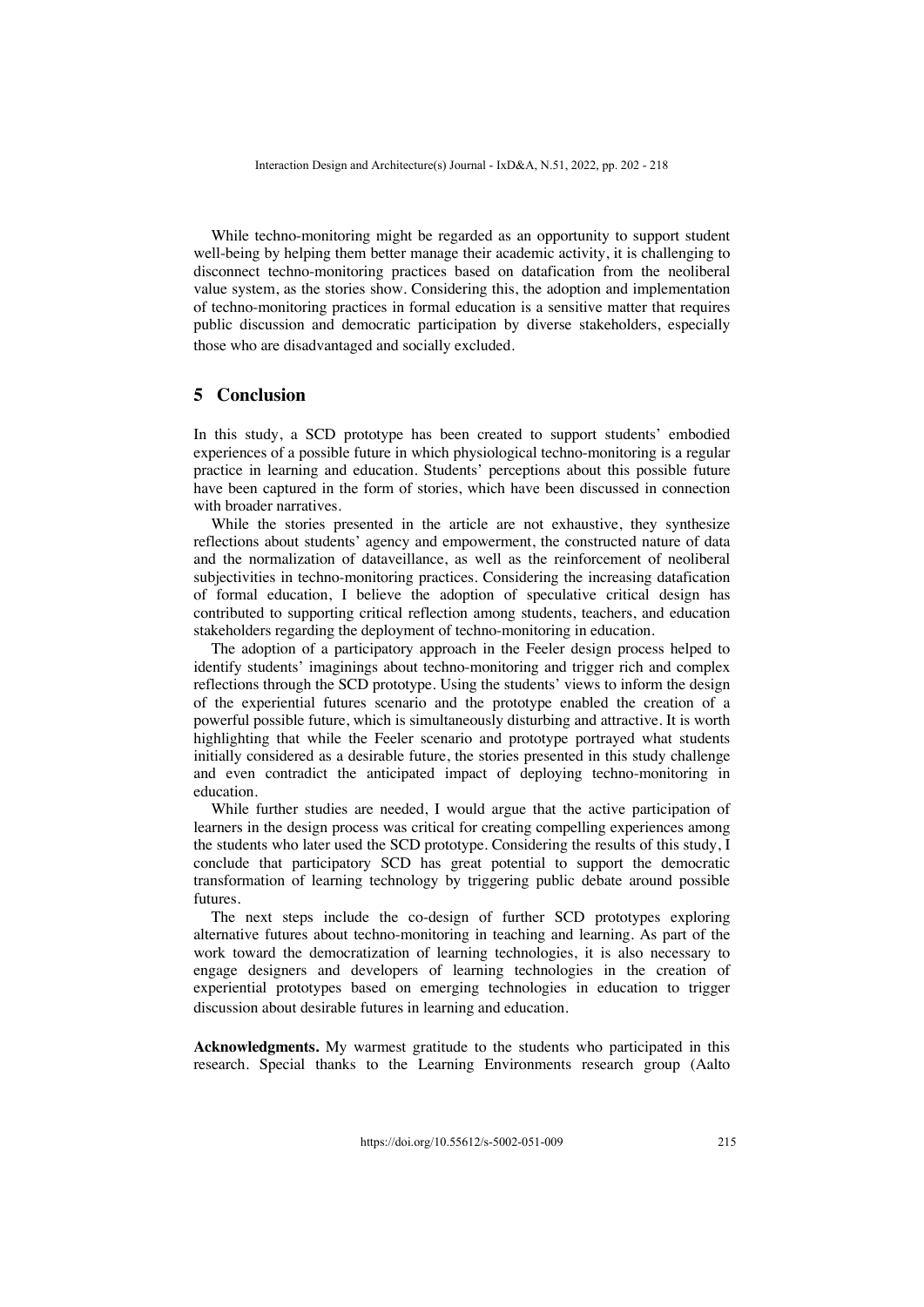While techno-monitoring might be regarded as an opportunity to support student well-being by helping them better manage their academic activity, it is challenging to disconnect techno-monitoring practices based on datafication from the neoliberal value system, as the stories show. Considering this, the adoption and implementation of techno-monitoring practices in formal education is a sensitive matter that requires public discussion and democratic participation by diverse stakeholders, especially those who are disadvantaged and socially excluded.

# **5 Conclusion**

In this study, a SCD prototype has been created to support students' embodied experiences of a possible future in which physiological techno-monitoring is a regular practice in learning and education. Students' perceptions about this possible future have been captured in the form of stories, which have been discussed in connection with broader narratives.

While the stories presented in the article are not exhaustive, they synthesize reflections about students' agency and empowerment, the constructed nature of data and the normalization of dataveillance, as well as the reinforcement of neoliberal subjectivities in techno-monitoring practices. Considering the increasing datafication of formal education, I believe the adoption of speculative critical design has contributed to supporting critical reflection among students, teachers, and education stakeholders regarding the deployment of techno-monitoring in education.

The adoption of a participatory approach in the Feeler design process helped to identify students' imaginings about techno-monitoring and trigger rich and complex reflections through the SCD prototype. Using the students' views to inform the design of the experiential futures scenario and the prototype enabled the creation of a powerful possible future, which is simultaneously disturbing and attractive. It is worth highlighting that while the Feeler scenario and prototype portrayed what students initially considered as a desirable future, the stories presented in this study challenge and even contradict the anticipated impact of deploying techno-monitoring in education.

While further studies are needed, I would argue that the active participation of learners in the design process was critical for creating compelling experiences among the students who later used the SCD prototype. Considering the results of this study, I conclude that participatory SCD has great potential to support the democratic transformation of learning technology by triggering public debate around possible futures.

The next steps include the co-design of further SCD prototypes exploring alternative futures about techno-monitoring in teaching and learning. As part of the work toward the democratization of learning technologies, it is also necessary to engage designers and developers of learning technologies in the creation of experiential prototypes based on emerging technologies in education to trigger discussion about desirable futures in learning and education.

**Acknowledgments.** My warmest gratitude to the students who participated in this research. Special thanks to the Learning Environments research group (Aalto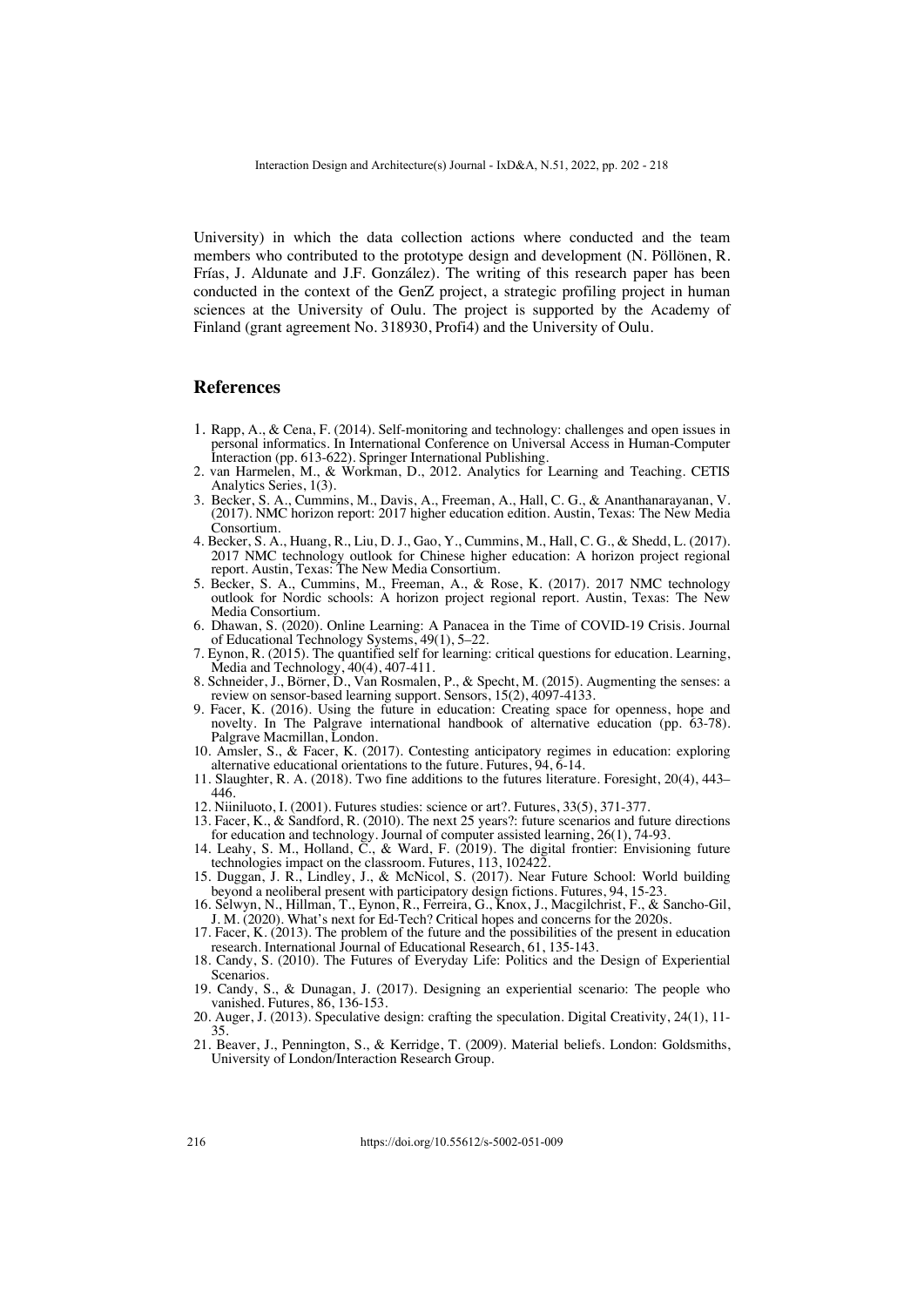University) in which the data collection actions where conducted and the team members who contributed to the prototype design and development (N. Pöllönen, R. Frías, J. Aldunate and J.F. González). The writing of this research paper has been conducted in the context of the GenZ project, a strategic profiling project in human sciences at the University of Oulu. The project is supported by the Academy of Finland (grant agreement No. 318930, Profi4) and the University of Oulu.

## **References**

- 1. Rapp, A., & Cena, F. (2014). Self-monitoring and technology: challenges and open issues in personal informatics. In International Conference on Universal Access in Human-Computer Interaction (pp. 613-622). Springer International Publishing.
- 2. van Harmelen, M., & Workman, D., 2012. Analytics for Learning and Teaching. CETIS Analytics Series, 1(3).
- 3. Becker, S. A., Cummins, M., Davis, A., Freeman, A., Hall, C. G., & Ananthanarayanan, V. (2017). NMC horizon report: 2017 higher education edition. Austin, Texas: The New Media Consortium.
- 4. Becker, S. A., Huang, R., Liu, D. J., Gao, Y., Cummins, M., Hall, C. G., & Shedd, L. (2017). 2017 NMC technology outlook for Chinese higher education: A horizon project regional report. Austin, Texas: The New Media Consortium.
- 5. Becker, S. A., Cummins, M., Freeman, A., & Rose, K. (2017). 2017 NMC technology outlook for Nordic schools: A horizon project regional report. Austin, Texas: The New Media Consortium.
- 6. Dhawan, S. (2020). Online Learning: A Panacea in the Time of COVID-19 Crisis. Journal of Educational Technology Systems, 49(1), 5–22.
- 7. Eynon, R. (2015). The quantified self for learning: critical questions for education. Learning, Media and Technology, 40(4), 407-411.
- 8. Schneider, J., Börner, D., Van Rosmalen, P., & Specht, M. (2015). Augmenting the senses: a review on sensor-based learning support. Sensors, 15(2), 4097-4133.
- 9. Facer, K. (2016). Using the future in education: Creating space for openness, hope and novelty. In The Palgrave international handbook of alternative education (pp. 63-78). Palgrave Macmillan, London.
- 10. Amsler, S., & Facer, K. (2017). Contesting anticipatory regimes in education: exploring alternative educational orientations to the future. Futures, 94, 6-14.
- 11. Slaughter, R. A. (2018). Two fine additions to the futures literature. Foresight, 20(4), 443– 446.
- 12. Niiniluoto, I. (2001). Futures studies: science or art?. Futures, 33(5), 371-377.
- 13. Facer, K., & Sandford, R. (2010). The next 25 years?: future scenarios and future directions for education and technology. Journal of computer assisted learning, 26(1), 74-93.
- 14. Leahy, S. M., Holland, C., & Ward, F. (2019). The digital frontier: Envisioning future technologies impact on the classroom. Futures, 113, 102422.
- 15. Duggan, J. R., Lindley, J., & McNicol, S. (2017). Near Future School: World building beyond a neoliberal present with participatory design fictions. Futures, 94, 15-23.
- 16. Selwyn, N., Hillman, T., Eynon, R., Ferreira, G., Knox, J., Macgilchrist, F., & Sancho-Gil, J. M. (2020). What's next for Ed-Tech? Critical hopes and concerns for the 2020s.
- 17. Facer, K. (2013). The problem of the future and the possibilities of the present in education research. International Journal of Educational Research, 61, 135-143.
- 18. Candy, S. (2010). The Futures of Everyday Life: Politics and the Design of Experiential Scenarios.
- 19. Candy, S., & Dunagan, J. (2017). Designing an experiential scenario: The people who vanished. Futures, 86, 136-153.
- 20. Auger, J. (2013). Speculative design: crafting the speculation. Digital Creativity, 24(1), 11- 35.
- 21. Beaver, J., Pennington, S., & Kerridge, T. (2009). Material beliefs. London: Goldsmiths, University of London/Interaction Research Group.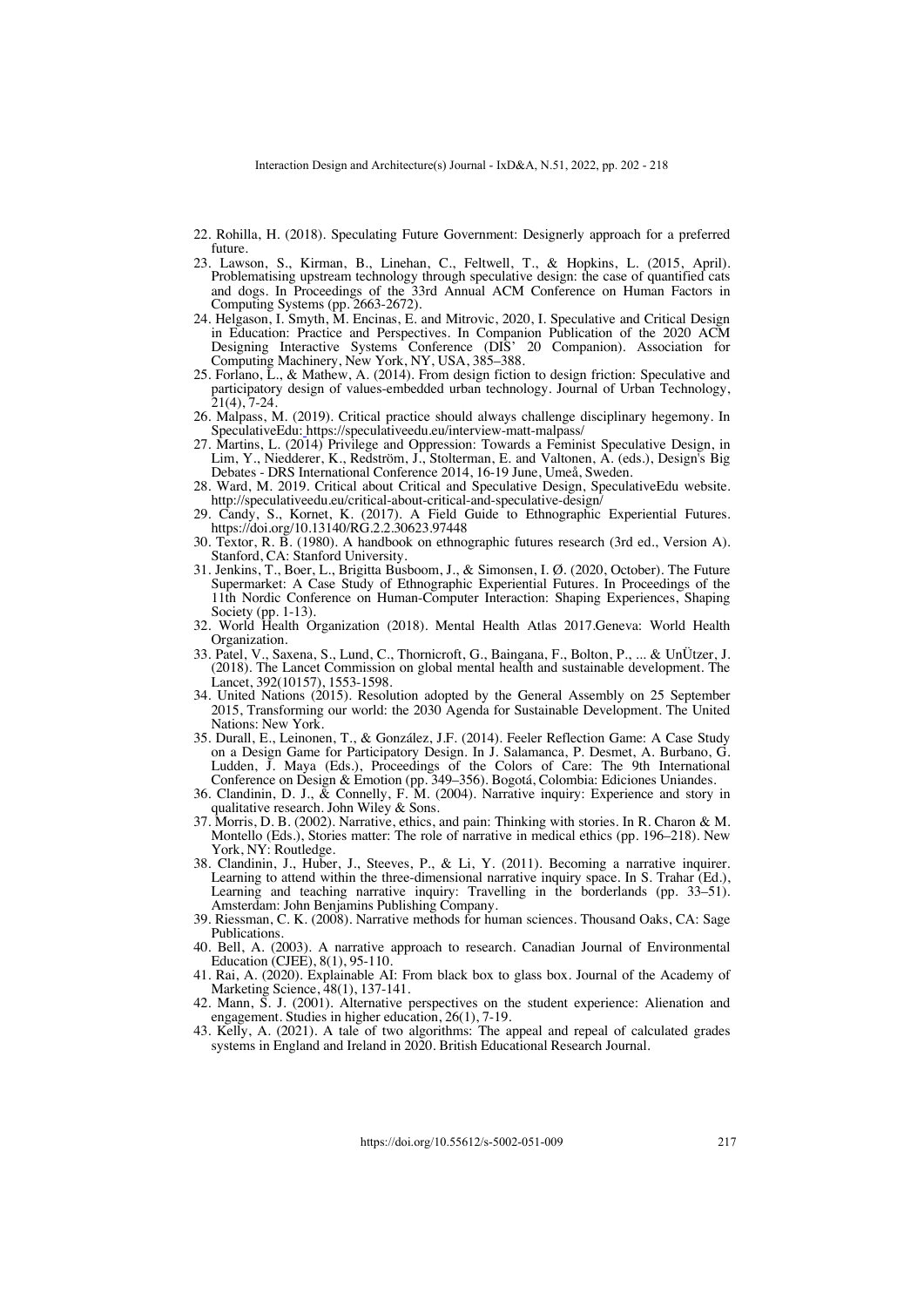- 22. Rohilla, H. (2018). Speculating Future Government: Designerly approach for a preferred future.
- 23. Lawson, S., Kirman, B., Linehan, C., Feltwell, T., & Hopkins, L. (2015, April). Problematising upstream technology through speculative design: the case of quantified cats and dogs. In Proceedings of the 33rd Annual ACM Conference on Human Factors in Computing Systems (pp. 2663-2672).
- 24. Helgason, I. Smyth, M. Encinas, E. and Mitrovic, 2020, I. Speculative and Critical Design in Education: Practice and Perspectives. In Companion Publication of the 2020 ACM Designing Interactive Systems Conference (DIS' 20 Companion). Association for Computing Machinery, New York, NY, USA, 385–388.
- 25. Forlano, L., & Mathew, A. (2014). From design fiction to design friction: Speculative and participatory design of values-embedded urban technology. Journal of Urban Technology,
- 26. Malpass, M. (2019). Critical practice should always challenge disciplinary hegemony. In SpeculativeEdu: https://speculativeedu.eu/interview-matt-malpass/
- 27. Martins, L.  $(2014)$  Privilege and Oppression: Towards a Feminist Speculative Design, in Lim, Y., Niedderer, K., Redström, J., Stolterman, E. and Valtonen, A. (eds.), Design's Big Debates - DRS International Conference 2014, 16-19 June, Umeå, Sweden.
- 28. Ward, M. 2019. Critical about Critical and Speculative Design, SpeculativeEdu website. http://speculativeedu.eu/critical-about-critical-and-speculative-design/
- 29. Candy, S., Kornet, K. (2017). A Field Guide to Ethnographic Experiential Futures.<br>https://doi.org/10.13140/RG.2.2.30623.97448
- 30. Textor, R. B. (1980). A handbook on ethnographic futures research (3rd ed., Version A). Stanford, CA: Stanford University.
- 31. Jenkins, T., Boer, L., Brigitta Busboom, J., & Simonsen, I. Ø. (2020, October). The Future Supermarket: A Case Study of Ethnographic Experiential Futures. In Proceedings of the 11th Nordic Conference on Human-Computer Interaction: Shaping Experiences, Shaping Society (pp. 1-13).
- 32. World Health Organization (2018). Mental Health Atlas 2017. Geneva: World Health Organization.
- 33. Patel, V., Saxena, S., Lund, C., Thornicroft, G., Baingana, F., Bolton, P., ... & UnÜtzer, J. (2018). The Lancet Commission on global mental health and sustainable development. The
- 34. United Nations (2015). Resolution adopted by the General Assembly on 25 September 2015, Transforming our world: the 2030 Agenda for Sustainable Development. The United
- Nations: New York. 35. Durall, E., Leinonen, T., & González, J.F. (2014). Feeler Reflection Game: A Case Study on a Design Game for Participatory Design. In J. Salamanca, P. Desmet, A. Burbano, G. Ludden, J. Maya (Eds.), Proceedings of the Colors of Care: The 9th International Conference on Design & Emotion (pp. 349–356). Bogotá, Colombia: Ediciones Uniandes.
- 36. Clandinin, D. J.,  $\&$  Connelly, F. M. (2004). Narrative inquiry: Experience and story in qualitative research. John Wiley  $\&$  Sons.
- 37. Morris, D. B. (2002). Narrative, ethics, and pain: Thinking with stories. In R. Charon & M. Montello (Eds.), Stories matter: The role of narrative in medical ethics (pp. 196–218). New
- 38. Clandinin, J., Huber, J., Steeves, P., & Li, Y. (2011). Becoming a narrative inquirer. Learning to attend within the three-dimensional narrative inquiry space. In S. Trahar (Ed.), Learning and teaching narrative inquiry: Travelling in the borderlands (pp. 33–51). Amsterdam: John Benjamins Publishing Company.
- 39. Riessman, C. K. (2008). Narrative methods for human sciences. Thousand Oaks, CA: Sage
- Publications.<br> 40. Bell, A. (2003). A narrative approach to research. Canadian Journal of Environmental Education (CJEE), 8(1), 95-110.
- 41. Rai, A. (2020). Explainable AI: From black box to glass box. Journal of the Academy of Marketing Science, 48(1), 137-141.
- 42. Mann, S. J. (2001). Alternative perspectives on the student experience: Alienation and engagement. Studies in higher education,  $26(1)$ ,  $7-19$ .
- 43. Kelly, A. (2021). A tale of two algorithms: The appeal and repeal of calculated grades systems in England and Ireland in 2020. British Educational Research Journal.